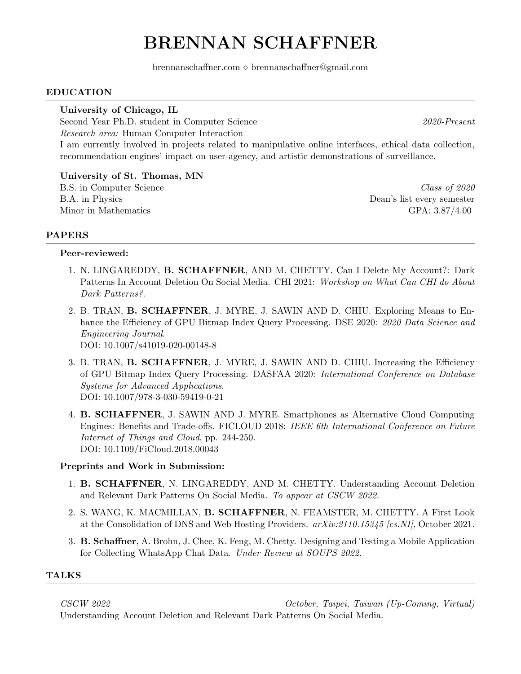# BRENNAN SCHAFFNER

brennanschaffner.com brennanschaffner@gmail.com

## EDUCATION

University of Chicago, IL

Second Year Ph.D. student in Computer Science 2020-Present Research area: Human Computer Interaction

I am currently involved in projects related to manipulative online interfaces, ethical data collection, recommendation engines' impact on user-agency, and artistic demonstrations of surveillance.

University of St. Thomas, MN B.S. in Computer Science Class of 2020 B.A. in Physics Dean's list every semester Minor in Mathematics GPA: 3.87/4.00

# PAPERS

#### Peer-reviewed:

- 1. N. LINGAREDDY, B. SCHAFFNER, AND M. CHETTY. Can I Delete My Account?: Dark Patterns In Account Deletion On Social Media. CHI 2021: Workshop on What Can CHI do About Dark Patterns?.
- 2. B. TRAN, B. SCHAFFNER, J. MYRE, J. SAWIN AND D. CHIU. Exploring Means to Enhance the Efficiency of GPU Bitmap Index Query Processing. DSE 2020: 2020 Data Science and Engineering Journal. DOI: 10.1007/s41019-020-00148-8
- 3. B. TRAN, B. SCHAFFNER, J. MYRE, J. SAWIN AND D. CHIU. Increasing the Efficiency of GPU Bitmap Index Query Processing. DASFAA 2020: International Conference on Database Systems for Advanced Applications. DOI: 10.1007/978-3-030-59419-0-21
- 4. B. SCHAFFNER, J. SAWIN AND J. MYRE. Smartphones as Alternative Cloud Computing Engines: Benefits and Trade-offs. FICLOUD 2018: IEEE 6th International Conference on Future Internet of Things and Cloud, pp. 244-250. DOI: 10.1109/FiCloud.2018.00043

#### Preprints and Work in Submission:

- 1. B. SCHAFFNER, N. LINGAREDDY, AND M. CHETTY. Understanding Account Deletion and Relevant Dark Patterns On Social Media. To appear at CSCW 2022.
- 2. S. WANG, K. MACMILLAN, B. SCHAFFNER, N. FEAMSTER, M. CHETTY. A First Look at the Consolidation of DNS and Web Hosting Providers. arXiv:2110.15345 [cs.NI], October 2021.
- 3. B. Schaffner, A. Brohn, J. Chee, K. Feng, M. Chetty. Designing and Testing a Mobile Application for Collecting WhatsApp Chat Data. Under Review at SOUPS 2022.

# TALKS

CSCW 2022 October, Taipei, Taiwan (Up-Coming, Virtual) Understanding Account Deletion and Relevant Dark Patterns On Social Media.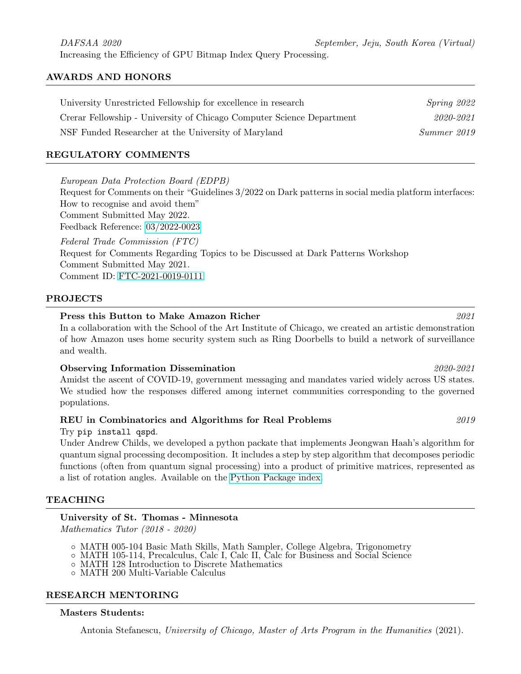## AWARDS AND HONORS

| University Unrestricted Fellowship for excellence in research        | Spring 2022 |
|----------------------------------------------------------------------|-------------|
| Crear Fellowship - University of Chicago Computer Science Department | 2020-2021   |
| NSF Funded Researcher at the University of Maryland                  | Summer 2019 |

## REGULATORY COMMENTS

European Data Protection Board (EDPB)

Request for Comments on their "Guidelines 3/2022 on Dark patterns in social media platform interfaces: How to recognise and avoid them" Comment Submitted May 2022.

Feedback Reference: [03/2022-0023](https://edpb.europa.eu/sites/default/files/webform/public_consultation_reply/EDPB_Comment_Final_Draft2.pdf)

Federal Trade Commission (FTC) Request for Comments Regarding Topics to be Discussed at Dark Patterns Workshop Comment Submitted May 2021. Comment ID: [FTC-2021-0019-0111](https://www.regulations.gov/comment/FTC-2021-0019-0111)

#### PROJECTS

#### Press this Button to Make Amazon Richer 2021

In a collaboration with the School of the Art Institute of Chicago, we created an artistic demonstration of how Amazon uses home security system such as Ring Doorbells to build a network of surveillance and wealth.

#### Observing Information Dissemination 2020-2021

Amidst the ascent of COVID-19, government messaging and mandates varied widely across US states. We studied how the responses differed among internet communities corresponding to the governed populations.

#### REU in Combinatorics and Algorithms for Real Problems 2019

#### Try pip install qspd.

Under Andrew Childs, we developed a python packate that implements Jeongwan Haah's algorithm for quantum signal processing decomposition. It includes a step by step algorithm that decomposes periodic functions (often from quantum signal processing) into a product of primitive matrices, represented as a list of rotation angles. Available on the [Python Package index.](https://pypi.org/project/qspd/)

#### TEACHING

#### University of St. Thomas - Minnesota

Mathematics Tutor (2018 - 2020)

- MATH 005-104 Basic Math Skills, Math Sampler, College Algebra, Trigonometry
- MATH 105-114, Precalculus, Calc I, Calc II, Calc for Business and Social Science
- MATH 128 Introduction to Discrete Mathematics
- MATH 200 Multi-Variable Calculus

#### RESEARCH MENTORING

#### Masters Students:

Antonia Stefanescu, University of Chicago, Master of Arts Program in the Humanities (2021).